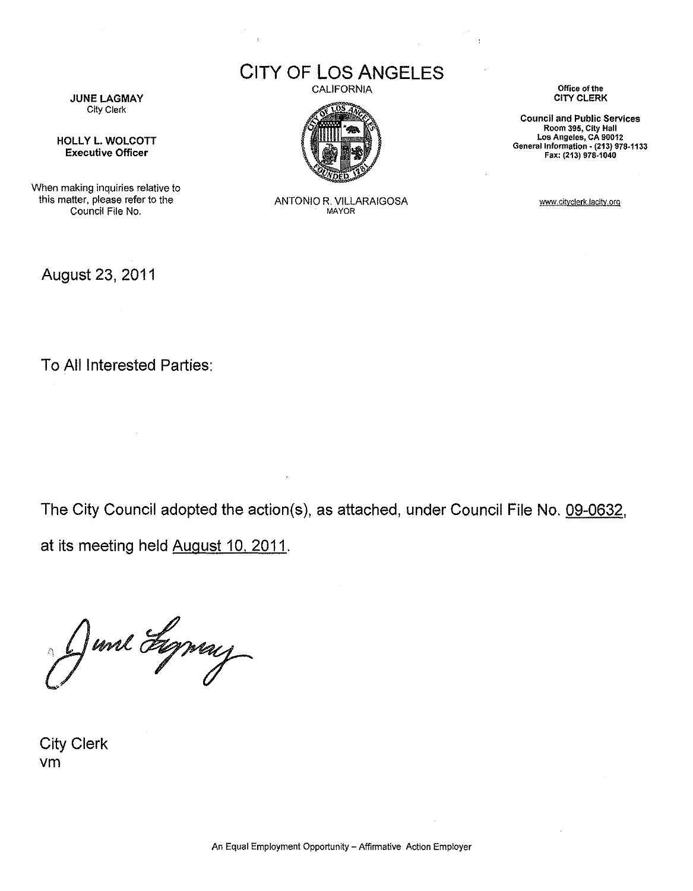**CITY OF LOS ANGELES** CALIFORNIA



ANTONIO R. VILLARAIGOSA MAYOR

**Office of the** CITY CLERK

**Council and Public Services Room 395, City Hall Los Angeles, CA 90012** General Information • **(213) 978-1133** Fax: (213) 978·1040

www.cityclerk.lacity.org

**JUNE LAGMAY** City Clerk

HOLLY L. WOLCOTT Executive Officer

When making inquiries relative to this matter, please refer to the Council File No,

August 23, 2011

To All Interested Parties:

The City Council adopted the action(s), as attached, under Council File No. 09-0632, at its meeting held August 10, 2011.

June Lyney

City Clerk vm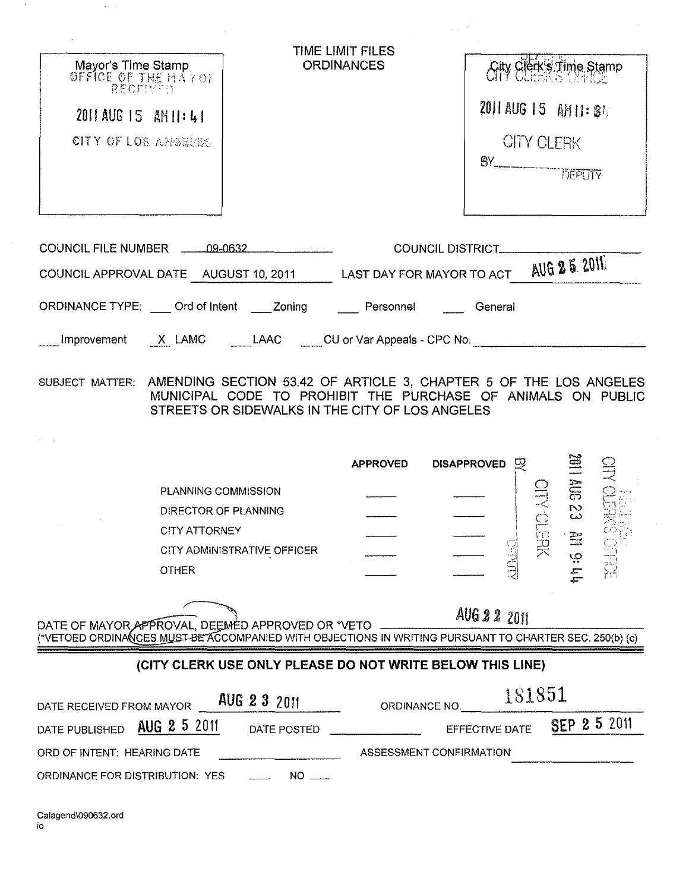| Mayor's Time Stamp<br>OFFICE OF THE MAYOR<br>RECEIVED<br>2011 AUG 15 AM 11:41<br>CITY OF LOS ANOTHERS                                                        | TIME LIMIT FILES<br><b>ORDINANCES</b> | <b>City Clerk's Time Stamp</b><br>2011 AUG 15 AM 11: 34<br><b>CITY CLERK</b> |
|--------------------------------------------------------------------------------------------------------------------------------------------------------------|---------------------------------------|------------------------------------------------------------------------------|
| COUNCIL FILE NUMBER 446-09-0632<br>COUNCIL APPROVAL DATE AUGUST 10, 2011 LAST DAY FOR MAYOR TO ACT                                                           | <b>COUNCIL DISTRICT_</b>              | <b>AUG 25 2011</b>                                                           |
| ORDINANCE TYPE: Ord of Intent _____ Zoning Personnel General                                                                                                 |                                       |                                                                              |
| Improvement X LAMC LAAC CU or Var Appeals - CPC No.                                                                                                          |                                       |                                                                              |
| MUNICIPAL CODE TO PROHIBIT THE PURCHASE OF ANIMALS ON PUBLIC<br>STREETS OR SIDEWALKS IN THE CITY OF LOS ANGELES                                              | <b>APPROVED</b>                       | <b>DISAPPROVED</b><br>$\mathcal{D}$                                          |
| PLANNING COMMISSION                                                                                                                                          |                                       | <b>SOLLING</b>                                                               |
| DIRECTOR OF PLANNING                                                                                                                                         |                                       |                                                                              |
| <b>CITY ATTORNEY</b><br>CITY ADMINISTRATIVE OFFICER                                                                                                          |                                       | Ī                                                                            |
| <b>OTHER</b>                                                                                                                                                 |                                       | ي<br>س                                                                       |
| DATE OF MAYOR APPROVAL, DEEMÉD APPROVED OR *VETO<br>TVETOED ORDINANCES MUST BE ACCOMPANIED WITH OBJECTIONS IN WRITING PURSUANT TO CHARTER SEC. 250(b) (c) () |                                       | AUG 2 2 2011                                                                 |
| (CITY CLERK USE ONLY PLEASE DO NOT WRITE BELOW THIS LINE)                                                                                                    |                                       |                                                                              |
| AUG 2 3 2011<br>DATE RECEIVED FROM MAYOR                                                                                                                     | ORDINANCE NO.                         | 181851                                                                       |
| AUG 2 5 2011<br>DATE PUBLISHED<br>DATE POSTED                                                                                                                |                                       | SEP 2 5 2011<br>EFFECTIVE DATE                                               |
| ORD OF INTENT: HEARING DATE                                                                                                                                  | ASSESSMENT CONFIRMATION               |                                                                              |
| $NO =$<br>ORDINANCE FOR DISTRIBUTION: YES                                                                                                                    |                                       |                                                                              |

 $\hat{\boldsymbol{\cdot}$ 

 $\mathcal{A}$ 

 $\sim$ 

 $\langle \hat{u} \rangle$  ).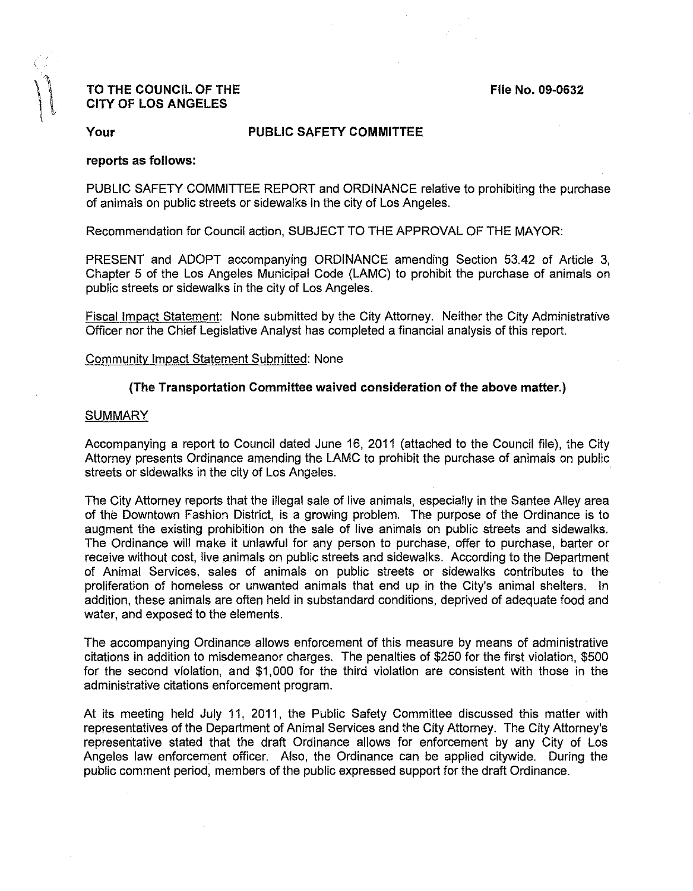# TO THE COUNCIL OF THE COUNCIL OF THE COUNCIL OF THE CITY OF LOS ANGELES

## Your **PUBLIC SAFETY COMMITTEE**

## reports as follows:

PUBLIC SAFETY COMMITTEE REPORT and ORDINANCE relative to prohibiting the purchase of animals on public streets or sidewalks in the city of Los Angeles.

Recommendation for Council action, SUBJECT TO THE APPROVAL OF THE MAYOR:

PRESENT and ADOPT accompanying ORDINANCE amending Section 53.42 of Article 3, Chapter 5 of the Los Angeles Municipal Code (LAMC) to prohibit the purchase of animals on public streets or sidewalks in the city of Los Angeles.

Fiscal Impact Statement: None submitted by the City Attorney. Neither the City Administrative Officer nor the Chief Legislative Analyst has completed a financial analysis of this report.

#### Community Impact Statement Submitted: None

# (The Transportation Committee waived consideration of the above matter.)

#### **SUMMARY**

Accompanying a report to Council dated June 16, 2011 (attached to the Council file), the City Attorney presents Ordinance amending the LAMC to prohibit the purchase of animals on public streets or sidewalks in the city of Los Angeles.

The City Attorney reports that the illegal sale of live animals, especially in the Santee Alley area of the Downtown Fashion District, is a growing problem. The purpose of the Ordinance is to augment the existing prohibition on the sale of live animals on public streets and sidewalks. The Ordinance will make it unlawful for any person to purchase, offer to purchase, barter or receive without cost, live animals on public streets and sidewalks. According to the Department of Animal Services, sales of animals on public streets or sidewalks contributes to the proliferation of homeless or unwanted animals that end up in the City's animal shelters. In addition, these animals are often held in substandard conditions, deprived of adequate food and water, and exposed to the elements.

The accompanying Ordinance allows enforcement of this measure by means of administrative citations in addition to misdemeanor charges. The penalties of \$250 for the first violation, \$500 for the second violation, and \$1,000 for the third violation are consistent with those in the administrative citations enforcement program.

At its meeting held July 11, 2011, the Public Safety Committee discussed this matter with representatives of the Department of Animal Services and the City Attorney. The City Attorney's representative stated that the draft Ordinance allows for enforcement by any City of Los Angeles law enforcement officer. Also, the Ordinance can be applied citywide. During the public comment period, members of the public expressed support for the draft Ordinance.